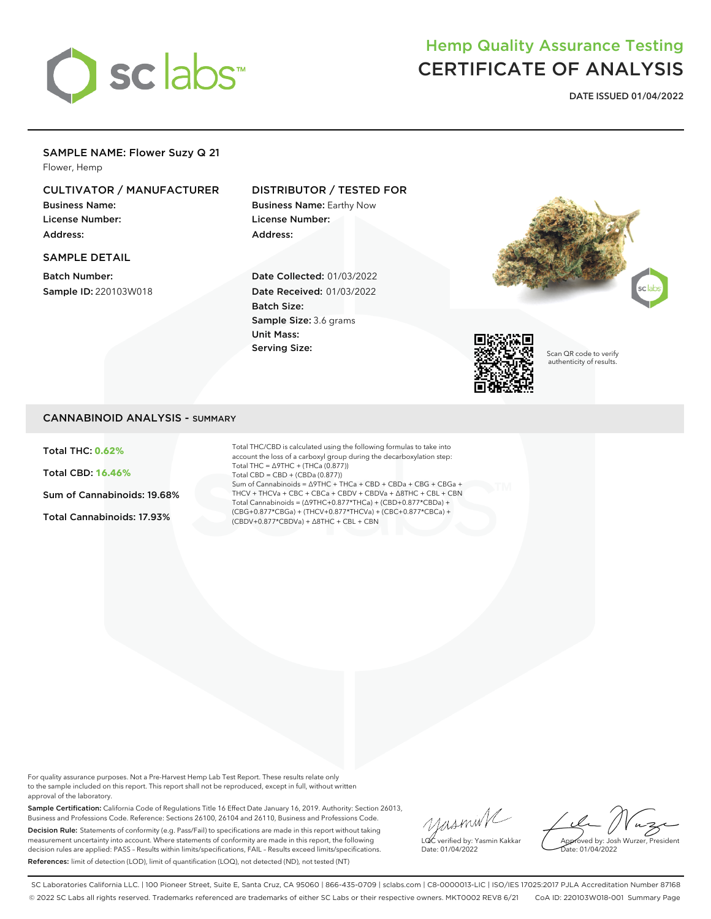

# Hemp Quality Assurance Testing CERTIFICATE OF ANALYSIS

**DATE ISSUED 01/04/2022**

## SAMPLE NAME: Flower Suzy Q 21

Flower, Hemp

# CULTIVATOR / MANUFACTURER

Business Name: License Number: Address:

#### SAMPLE DETAIL

Batch Number: Sample ID: 220103W018

# DISTRIBUTOR / TESTED FOR

Business Name: Earthy Now License Number: Address:

Date Collected: 01/03/2022 Date Received: 01/03/2022 Batch Size: Sample Size: 3.6 grams Unit Mass: Serving Size:





Scan QR code to verify authenticity of results.

## CANNABINOID ANALYSIS - SUMMARY

Total THC: **0.62%**

Total CBD: **16.46%**

Sum of Cannabinoids: 19.68%

Total Cannabinoids: 17.93%

Total THC/CBD is calculated using the following formulas to take into account the loss of a carboxyl group during the decarboxylation step: Total THC = ∆9THC + (THCa (0.877)) Total CBD = CBD + (CBDa (0.877)) Sum of Cannabinoids = ∆9THC + THCa + CBD + CBDa + CBG + CBGa + THCV + THCVa + CBC + CBCa + CBDV + CBDVa + ∆8THC + CBL + CBN Total Cannabinoids = (∆9THC+0.877\*THCa) + (CBD+0.877\*CBDa) + (CBG+0.877\*CBGa) + (THCV+0.877\*THCVa) + (CBC+0.877\*CBCa) + (CBDV+0.877\*CBDVa) + ∆8THC + CBL + CBN

For quality assurance purposes. Not a Pre-Harvest Hemp Lab Test Report. These results relate only to the sample included on this report. This report shall not be reproduced, except in full, without written approval of the laboratory.

Sample Certification: California Code of Regulations Title 16 Effect Date January 16, 2019. Authority: Section 26013, Business and Professions Code. Reference: Sections 26100, 26104 and 26110, Business and Professions Code. Decision Rule: Statements of conformity (e.g. Pass/Fail) to specifications are made in this report without taking measurement uncertainty into account. Where statements of conformity are made in this report, the following decision rules are applied: PASS – Results within limits/specifications, FAIL – Results exceed limits/specifications. References: limit of detection (LOD), limit of quantification (LOQ), not detected (ND), not tested (NT)

yusmink LQC verified by: Yasmin Kakkar Date: 01/04/2022

Approved by: Josh Wurzer, President Date: 01/04/2022

SC Laboratories California LLC. | 100 Pioneer Street, Suite E, Santa Cruz, CA 95060 | 866-435-0709 | sclabs.com | C8-0000013-LIC | ISO/IES 17025:2017 PJLA Accreditation Number 87168 © 2022 SC Labs all rights reserved. Trademarks referenced are trademarks of either SC Labs or their respective owners. MKT0002 REV8 6/21 CoA ID: 220103W018-001 Summary Page